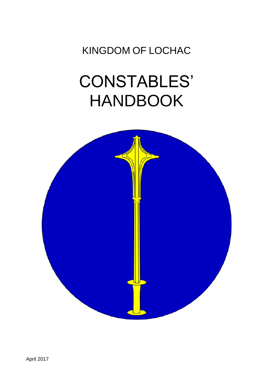KINGDOM OF LOCHAC

# CONSTABLES' HANDBOOK

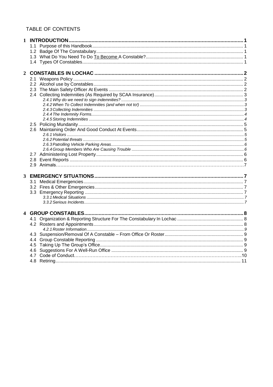# TABLE OF CONTENTS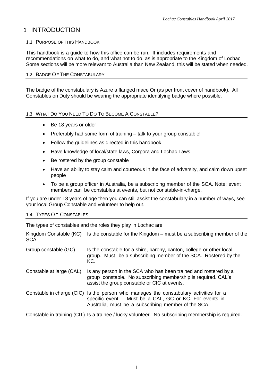# 1 INTRODUCTION

#### 1.1 PURPOSE OF THIS HANDBOOK

This handbook is a guide to how this office can be run. It includes requirements and recommendations on what to do, and what not to do, as is appropriate to the Kingdom of Lochac. Some sections will be more relevant to Australia than New Zealand, this will be stated when needed.

#### 1.2 BADGE OF THE CONSTABULARY

The badge of the constabulary is Azure a flanged mace Or (as per front cover of handbook). All Constables on Duty should be wearing the appropriate identifying badge where possible.

#### 1.3 WHAT DO YOU NEED TO DO TO BECOME A CONSTABLE?

- Be 18 years or older
- Preferably had some form of training talk to your group constable!
- Follow the guidelines as directed in this handbook
- Have knowledge of local/state laws, Corpora and Lochac Laws
- Be rostered by the group constable
- Have an ability to stay calm and courteous in the face of adversity, and calm down upset people
- To be a group officer in Australia, be a subscribing member of the SCA. Note: event members can be constables at events, but not constable-in-charge.

If you are under 18 years of age then you can still assist the constabulary in a number of ways, see your local Group Constable and volunteer to help out.

# 1.4 TYPES OF CONSTABLES

The types of constables and the roles they play in Lochac are:

Kingdom Constable  $(KC)$  Is the constable for the Kingdom – must be a subscribing member of the SCA.

| Group constable (GC) | Is the constable for a shire, barony, canton, college or other local |  |  |  |                                                                 |  |
|----------------------|----------------------------------------------------------------------|--|--|--|-----------------------------------------------------------------|--|
|                      | KC.                                                                  |  |  |  | group. Must be a subscribing member of the SCA. Rostered by the |  |

- Constable at large (CAL) Is any person in the SCA who has been trained and rostered by a group constable. No subscribing membership is required. CAL's assist the group constable or CIC at events.
- Constable in charge (CIC) Is the person who manages the constabulary activities for a specific event. Must be a CAL, GC or KC. For events in Australia, must be a subscribing member of the SCA.

Constable in training (CIT) Is a trainee / lucky volunteer. No subscribing membership is required.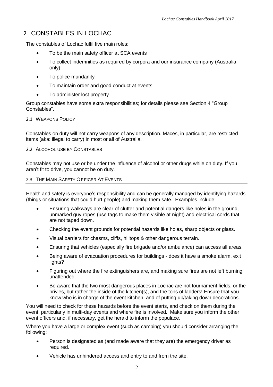# 2 CONSTABLES IN LOCHAC

The constables of Lochac fulfil five main roles:

- To be the main safety officer at SCA events
- To collect indemnities as required by corpora and our insurance company (Australia only)
- To police mundanity
- To maintain order and good conduct at events
- To administer lost property

Group constables have some extra responsibilities; for details please see Section 4 "Group Constables".

# 2.1 WEAPONS POLICY

Constables on duty will not carry weapons of any description. Maces, in particular, are restricted items (aka: illegal to carry) in most or all of Australia.

#### 2.2 ALCOHOL USE BY CONSTABLES

Constables may not use or be under the influence of alcohol or other drugs while on duty. If you aren't fit to drive, you cannot be on duty.

#### 2.3 THE MAIN SAFETY OF FICER AT EVENTS

Health and safety is everyone's responsibility and can be generally managed by identifying hazards (things or situations that could hurt people) and making them safe. Examples include:

- Ensuring walkways are clear of clutter and potential dangers like holes in the ground, unmarked guy ropes (use tags to make them visible at night) and electrical cords that are not taped down.
- Checking the event grounds for potential hazards like holes, sharp objects or glass.
- Visual barriers for chasms, cliffs, hilltops & other dangerous terrain.
- Ensuring that vehicles (especially fire brigade and/or ambulance) can access all areas.
- Being aware of evacuation procedures for buildings does it have a smoke alarm, exit lights?
- Figuring out where the fire extinguishers are, and making sure fires are not left burning unattended.
- Be aware that the two most dangerous places in Lochac are not tournament fields, or the privies, but rather the inside of the kitchen(s), and the tops of ladders! Ensure that you know who is in charge of the event kitchen, and of putting up/taking down decorations.

You will need to check for these hazards before the event starts, and check on them during the event, particularly in multi-day events and where fire is involved. Make sure you inform the other event officers and, if necessary, get the herald to inform the populace.

Where you have a large or complex event (such as camping) you should consider arranging the following:

- Person is designated as (and made aware that they are) the emergency driver as required.
- Vehicle has unhindered access and entry to and from the site.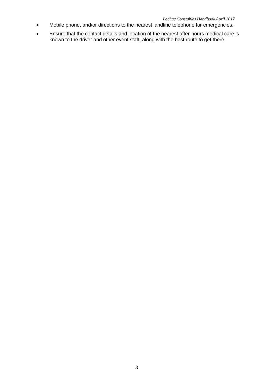- Mobile phone, and/or directions to the nearest landline telephone for emergencies.
- Ensure that the contact details and location of the nearest after-hours medical care is known to the driver and other event staff, along with the best route to get there.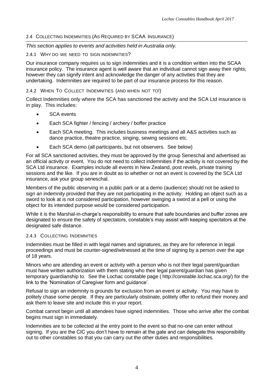# 2.4 COLLECTING INDEMNITIES (AS REQUIRED BY SCAA INSURANCE)

# *This section applies to events and activities held in Australia only.*

# 2.4.1 WHY DO WE NEED TO SIGN INDEMNITIES?

Our insurance company requires us to sign indemnities and it is a condition written into the SCAA insurance policy. The insurance agent is well aware that an individual cannot sign away their rights; however they can signify intent and acknowledge the danger of any activities that they are undertaking. Indemnities are required to be part of our insurance process for this reason.

# 2.4.2 WHEN TO COLLECT INDEMNITIES (AND WHEN NOT TO!)

Collect Indemnities only where the SCA has sanctioned the activity and the SCA Ltd insurance is in play. This includes:

- SCA events
- **Each SCA fighter / fencing / archery / boffer practice**
- Each SCA meeting. This includes business meetings and all A&S activities such as dance practice, theatre practice, singing, sewing sessions etc.
- Each SCA demo (all participants, but not observers. See below)

For all SCA sanctioned activities, they must be approved by the group Seneschal and advertised as an official activity or event. You do not need to collect indemnities if the activity is not covered by the SCA Ltd insurance. Examples include all events in New Zealand, post revels, private training sessions and the like. If you are in doubt as to whether or not an event is covered by the SCA Ltd insurance, ask your group seneschal.

Members of the public observing in a public park or at a demo (audience) should not be asked to sign an indemnity provided that they are not participating in the activity. Holding an object such as a sword to look at is not considered participation, however swinging a sword at a pell or using the object for its intended purpose would be considered participation.

While it is the Marshal-in-charge's responsibility to ensure that safe boundaries and buffer zones are designated to ensure the safety of spectators, constable's may assist with keeping spectators at the designated safe distance.

# 2.4.3 COLLECTING INDEMNITIES

Indemnities must be filled in with legal names and signatures, as they are for reference in legal proceedings and must be counter-signed/witnessed at the time of signing by a person over the age of 18 years.

Minors who are attending an event or activity with a person who is not their legal parent/guardian must have written authorization with them stating who their legal parent/guardian has given temporary guardianship to. See the Lochac constable page ( [http://constable.lochac.sca.org/\)](http://lochac.sca.org/constable/)) for the link to the 'Nomination of Caregiver form and guidance'.

Refusal to sign an indemnity is grounds for exclusion from an event or activity. You may have to politely chase some people. If they are particularly obstinate, politely offer to refund their money and ask them to leave site and include this in your report.

Combat cannot begin until all attendees have signed indemnities. Those who arrive after the combat begins must sign in immediately.

Indemnities are to be collected at the entry point to the event so that no-one can enter without signing. If you are the CIC you don't have to remain at the gate and can delegate this responsibility out to other constables so that you can carry out the other duties and responsibilities.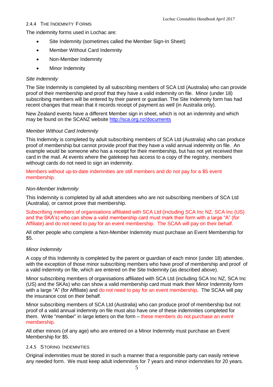# 2.4.4 THE INDEMNITY FORMS

The indemnity forms used in Lochac are:

- Site Indemnity (sometimes called the Member Sign-In Sheet)
- Member Without Card Indemnity
- Non-Member Indemnity
- Minor Indemnity

# *Site Indemnity*

The Site Indemnity is completed by all subscribing members of SCA Ltd (Australia) who can provide proof of their membership and proof that they have a valid indemnity on file. Minor (under 18) subscribing members will be entered by their parent or guardian. The Site Indemnity form has had recent changes that mean that it records receipt of payment as well (in Australia only).

New Zealand events have a different Member sign in sheet, which is not an indemnity and which may be found on the SCANZ website<http://sca.org.nz/documents>

# *Member Without Card Indemnity*

This Indemnity is completed by adult subscribing members of SCA Ltd (Australia) who can produce proof of membership but cannot provide proof that they have a valid annual indemnity on file. An example would be someone who has a receipt for their membership, but has not yet received their card in the mail. At events where the gatekeep has access to a copy of the registry, members withougt cards do not need to sign an indemnity.

Members without up-to-date indemnities are still members and do not pay for a \$5 event membership.

# *Non-Member Indemnity*

This Indemnity is completed by all adult attendees who are not subscribing members of SCA Ltd (Australia), or cannot prove that membership.

Subscribing members of organisations affiliated with SCA Ltd (including SCA Inc NZ, SCA Inc (US) and the SKA's) who can show a valid membership card must mark their form with a large "A" (for Affiliate) and do not need to pay for an event membership. The SCAA will pay on their behalf.

All other people who complete a Non-Member Indemnity must purchase an Event Membership for \$5.

# *Minor Indemnity*

A copy of this Indemnity is completed by the parent or guardian of each minor (under 18) attendee, with the exception of those minor subscribing members who have proof of membership and proof of a valid indemnity on file, which are entered on the Site Indemnity (as described above).

Minor subscribing members of organisations affiliated with SCA Ltd (including SCA Inc NZ, SCA Inc (US) and the SKAs) who can show a valid membership card must mark their Minor Indemnity form with a large "A" (for Affiliate) and do not need to pay for an event membership. The SCAA will pay the insurance cost on their behalf.

Minor subscribing members of SCA Ltd (Australia) who can produce proof of membership but not proof of a valid annual indemnity on file must also have one of these indemnities completed for them. Write "member" in large letters on the form – these members do not purchase an event membership.

All other minors (of any age) who are entered on a Minor Indemnity must purchase an Event Membership for \$5.

# 2.4.5 STORING INDEMNITIES

Original indemnities must be stored in such a manner that a responsible party can easily retrieve any needed form. We must keep adult indemnities for 7 years and minor indemnities for 20 years.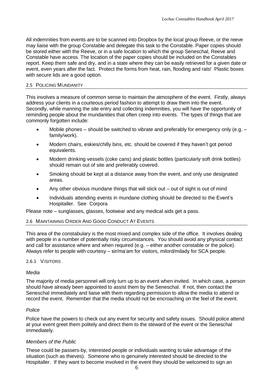All indemnities from events are to be scanned into Dropbox by the local group Reeve, or the reeve may liaise with the group Constable and delegate this task to the Constable. Paper copies should be stored either with the Reeve, or in a safe location to which the group Seneschal, Reeve and Constable have access. The location of the paper copies should be included on the Constables report. Keep them safe and dry, and in a state where they can be easily retrieved for a given date or event, even years after the fact. Protect the forms from heat, rain, flooding and rats! Plastic boxes with secure lids are a good option.

#### 2.5 POLICING MUNDANITY

This involves a measure of common sense to maintain the atmosphere of the event. Firstly, always address your clients in a courteous period fashion to attempt to draw them into the event. Secondly, while manning the site entry and collecting indemnities, you will have the opportunity of reminding people about the mundanities that often creep into events. The types of things that are commonly forgotten include:

- Mobile phones should be switched to vibrate and preferably for emergency only (e.g. family/work).
- Modern chairs, eskies/chilly bins, etc. should be covered if they haven't got period equivalents.
- Modern drinking vessels (coke cans) and plastic bottles (particularly soft drink bottles) should remain out of site and preferably covered.
- Smoking should be kept at a distance away from the event, and only use designated areas.
- Any other obvious mundane things that will stick out out of sight is out of mind
- Individuals attending events in mundane clothing should be directed to the Event's Hospitaller. See Corpora

Please note – sunglasses, glasses, footwear and any medical aids get a pass.

# 2.6 MAINTAINING ORDER AND GOOD CONDUCT AT EVENTS

This area of the constabulary is the most mixed and complex side of the office. It involves dealing with people in a number of potentially risky circumstances. You should avoid any physical contact and call for assistance where and when required (e.g. – either another constable or the police). Always refer to people with courtesy – sir/ma'am for visitors, milord/milady for SCA people.

#### 2.6.1 VISITORS

# *Media*

The majority of media personnel will only turn up to an event when invited. In which case, a person should have already been appointed to assist them by the Seneschal. If not, then contact the Seneschal immediately and liaise with them regarding permission to allow the media to attend or record the event. Remember that the media should not be encroaching on the feel of the event.

#### *Police*

Police have the powers to check out any event for security and safety issues. Should police attend at your event greet them politely and direct them to the steward of the event or the Seneschal immediately.

# *Members of the Public*

These could be passers-by, interested people or individuals wanting to take advantage of the situation (such as thieves). Someone who is genuinely interested should be directed to the Hospitaller. If they want to become involved in the event they should be welcomed to sign an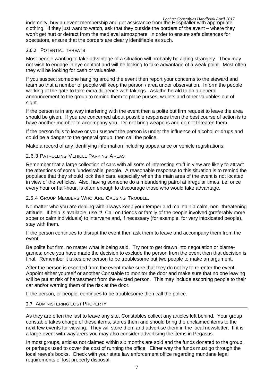*Lochac Constables Handbook April 2017* indemnity, buy an event membership and get assistance from the Hospitaller with appropriate clothing. If they just want to watch, ask that they outside the borders of the event – where they won't get hurt or detract from the medieval atmosphere. In order to ensure safe distances for spectators, ensure that the borders are clearly identifiable as such.

# 2.6.2 POTENTIAL THREATS

Most people wanting to take advantage of a situation will probably be acting strangely. They may not wish to engage in eye contact and will be looking to take advantage of a weak point. Most often they will be looking for cash or valuables.

If you suspect someone hanging around the event then report your concerns to the steward and team so that a number of people will keep the person / area under observation. Inform the people working at the gate to take extra diligence with takings. Ask the herald to do a general announcement to the group to remind them to place purses, wallets and other valuables out of sight.

If the person is in any way interfering with the event then a polite but firm request to leave the area should be given. If you are concerned about possible responses then the best course of action is to have another member to accompany you. Do not bring weapons and do not threaten them.

If the person fails to leave or you suspect the person is under the influence of alcohol or drugs and could be a danger to the general group, then call the police.

Make a record of any identifying information including appearance or vehicle registrations.

# 2.6.3 PATROLLING VEHICLE PARKING AREAS

Remember that a large collection of cars with all sorts of interesting stuff in view are likely to attract the attentions of some 'undesirable' people. A reasonable response to this situation is to remind the populace that they should lock their cars, especially when the main area of the event is not located in view of the vehicles. Also, having someone do a meandering patrol at irregular times, i.e. once every hour or half-hour, is often enough to discourage those who would take advantage.

# 2.6.4 GROUP MEMBERS WHO ARE CAUSING TROUBLE.

No matter who you are dealing with always keep your temper and maintain a calm, non- threatening attitude. If help is available, use it! Call on friends or family of the people involved (preferably more sober or calm individuals) to intervene and, if necessary (for example, for very intoxicated people), stay with them.

If the person continues to disrupt the event then ask them to leave and accompany them from the event.

Be polite but firm, no matter what is being said. Try not to get drawn into negotiation or blamegames; once you have made the decision to exclude the person from the event then that decision is final. Remember it takes one person to be troublesome but two people to make an argument.

After the person is escorted from the event make sure that they do not try to re-enter the event. Appoint either yourself or another Constable to monitor the door and make sure that no one leaving will be put at risk of harassment from the evicted person. This may include escorting people to their car and/or warning them of the risk at the door.

If the person, or people, continues to be troublesome then call the police.

# 2.7 ADMINISTERING LOST PROPERTY

As they are often the last to leave any site, Constables collect any articles left behind. Your group constable takes charge of these items, stores them and should bring the unclaimed items to the next few events for viewing. They will store them and advertise them in the local newsletter. If it is a large event with wayfarers you may also consider advertising the items in Pegasus.

In most groups, articles not claimed within six months are sold and the funds donated to the group, or perhaps used to cover the cost of running the office. Either way the funds must go through the local reeve's books. Check with your state law enforcement office regarding mundane legal requirements of lost property disposal.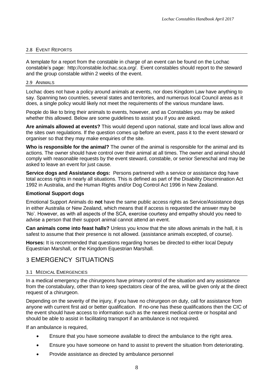# 2.8 EVENT REPORTS

A template for a report from the constable in charge of an event can be found on the Lochac constable's page: [http://constable.lochac.sca.org/.](http://lochac.sca.org/constable/) Event constables should report to the steward and the group constable within 2 weeks of the event.

#### 2.9 ANIMALS

Lochac does not have a policy around animals at events, nor does Kingdom Law have anything to say. Spanning two countries, several states and territories, and numerous local Council areas as it does, a single policy would likely not meet the requirements of the various mundane laws.

People do like to bring their animals to events, however, and as Constables you may be asked whether this allowed. Below are some guidelines to assist you if you are asked.

**Are animals allowed at events?** This would depend upon national, state and local laws allow and the sites own regulations. If the question comes up before an event, pass it to the event steward or organiser so that they may make enquiries of the site.

**Who is responsible for the animal?** The owner of the animal is responsible for the animal and its actions. The owner should have control over their animal at all times. The owner and animal should comply with reasonable requests by the event steward, constable, or senior Seneschal and may be asked to leave an event for just cause.

**Service dogs and Assistance dogs:** Persons partnered with a service or assistance dog have total access rights in nearly all situations. This is defined as part of the Disability Discrimination Act 1992 in Australia, and the Human Rights and/or Dog Control Act 1996 in New Zealand.

#### **Emotional Support dogs**

Emotional Support Animals do **not** have the same public access rights as Service/Assistance dogs in either Australia or New Zealand, which means that if access is requested the answer may be 'No'. However, as with all aspects of the SCA, exercise courtesy and empathy should you need to advise a person that their support animal cannot attend an event.

**Can animals come into feast halls?** Unless you know that the site allows animals in the hall, it is safest to assume that their presence is not allowed. (assistance animals excepted, of course).

**Horses:** It is recommended that questions regarding horses be directed to either local Deputy Equestrian Marshall, or the Kingdom Equestrian Marshall.

# 3 EMERGENCY SITUATIONS

# 3.1 MEDICAL EMERGENCIES

In a medical emergency the chirurgeons have primary control of the situation and any assistance from the constabulary, other than to keep spectators clear of the area, will be given only at the direct request of a chirurgeon.

Depending on the severity of the injury, if you have no chirurgeon on duty, call for assistance from anyone with current first aid or better qualification. If no-one has these qualifications then the CIC of the event should have access to information such as the nearest medical centre or hospital and should be able to assist in facilitating transport if an ambulance is not required.

If an ambulance is required,

- Ensure that you have someone available to direct the ambulance to the right area.
- Ensure you have someone on hand to assist to prevent the situation from deteriorating.
- Provide assistance as directed by ambulance personnel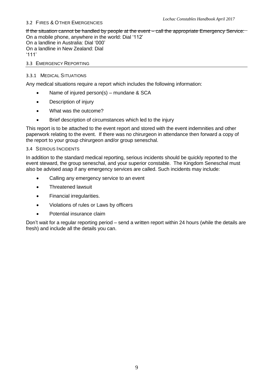# 3.2 FIRES & OTHER EMERGENCIES

If the situation cannot be handled by people at the event – call the appropriate Emergency Service: On a mobile phone, anywhere in the world: Dial '112'

On a landline in Australia: Dial '000' On a landline in New Zealand: Dial '111'

#### 3.3 EMERGENCY REPORTING

#### 3.3.1 MEDICAL SITUATIONS

Any medical situations require a report which includes the following information:

- Name of injured person(s) mundane & SCA
- Description of injury
- What was the outcome?
- Brief description of circumstances which led to the injury

This report is to be attached to the event report and stored with the event indemnities and other paperwork relating to the event. If there was no chirurgeon in attendance then forward a copy of the report to your group chirurgeon and/or group seneschal.

#### 3.4 SERIOUS INCIDENTS

In addition to the standard medical reporting, serious incidents should be quickly reported to the event steward, the group seneschal, and your superior constable. The Kingdom Seneschal must also be advised asap if any emergency services are called. Such incidents may include:

- Calling any emergency service to an event
- Threatened lawsuit
- Financial irregularities.
- Violations of rules or Laws by officers
- Potential insurance claim

Don't wait for a regular reporting period – send a written report within 24 hours (while the details are fresh) and include all the details you can.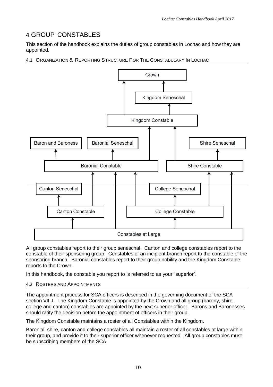# 4 GROUP CONSTABLES

This section of the handbook explains the duties of group constables in Lochac and how they are appointed.

4.1 ORGANIZATION & REPORTING STRUCTURE FOR THE CONSTABULARY IN LOCHAC



All group constables report to their group seneschal. Canton and college constables report to the constable of their sponsoring group. Constables of an incipient branch report to the constable of the sponsoring branch. Baronial constables report to their group nobility and the Kingdom Constable reports to the Crown.

In this handbook, the constable you report to is referred to as your "superior".

# 4.2 ROSTERS AND APPOINTMENTS

The appointment process for SCA officers is described in the governing document of the SCA section VII.J. The Kingdom Constable is appointed by the Crown and all group (barony, shire, college and canton) constables are appointed by the next superior officer. Barons and Baronesses should ratify the decision before the appointment of officers in their group.

The Kingdom Constable maintains a roster of all Constables within the Kingdom.

Baronial, shire, canton and college constables all maintain a roster of all constables at large within their group, and provide it to their superior officer whenever requested. All group constables must be subscribing members of the SCA.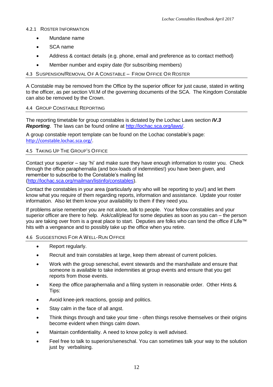#### 4.2.1 ROSTER INFORMATION

- Mundane name
- SCA name
- Address & contact details (e.g. phone, email and preference as to contact method)
- Member number and expiry date (for subscribing members)

# 4.3 SUSPENSION/REMOVAL OF A CONSTABLE – FROM OFFICE OR ROSTER

A Constable may be removed from the Office by the superior officer for just cause, stated in writing to the officer, as per section VII.M of the governing documents of the SCA. The Kingdom Constable can also be removed by the Crown.

#### 4.4 GROUP CONSTABLE REPORTING

The reporting timetable for group constables is dictated by the Lochac Laws section *IV.3 Reporting*. The laws can be found online at [http://lochac.sca.org/laws/.](http://lochac.sca.org/laws/)

A group constable report template can be found on the Lochac constable's page: [http://constable.lochac.sca.org/.](http://constable.lochac.sca.org/)

# 4.5 TAKING UP THE GROUP'S OFFICE

Contact your superior – say 'hi' and make sure they have enough information to roster you. Check through the office paraphernalia (and box-loads of indemnities!) you have been given, and remember to subscribe to the Constable's mailing list [\(http://lochac.sca.org/mailman/listinfo/constables\)](http://lochac.sca.org/mailman/listinfo/constables).

Contact the constables in your area (particularly any who will be reporting to you!) and let them know what you require of them regarding reports, information and assistance. Update your roster information. Also let them know your availability to them if they need you.

If problems arise remember you are not alone, talk to people. Your fellow constables and your superior officer are there to help. Ask/call/plead for some deputies as soon as you can – the person you are taking over from is a great place to start. Deputies are folks who can tend the office if Life™ hits with a vengeance and to possibly take up the office when you retire.

# 4.6 SUGGESTIONS FOR A WELL-RUN OFFICE

- Report regularly.
- Recruit and train constables at large, keep them abreast of current policies.
- Work with the group seneschal, event stewards and the marshallate and ensure that someone is available to take indemnities at group events and ensure that you get reports from those events.
- Keep the office paraphernalia and a filing system in reasonable order. Other Hints & Tips:
- Avoid knee-jerk reactions, gossip and politics.
- Stay calm in the face of all angst.
- Think things through and take your time often things resolve themselves or their origins become evident when things calm down.
- Maintain confidentiality. A need to know policy is well advised.
- Feel free to talk to superiors/seneschal. You can sometimes talk your way to the solution just by verbalising.